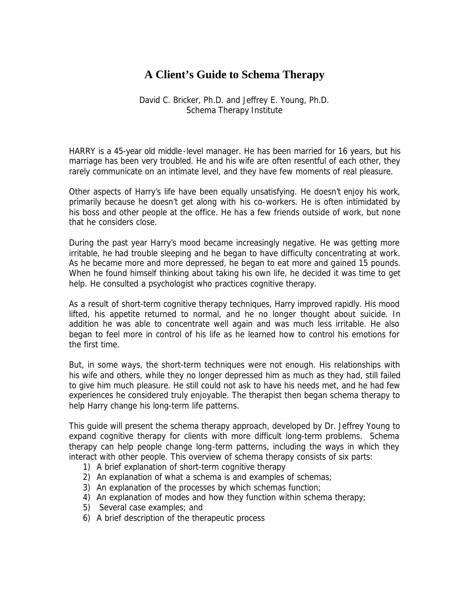# **A Client's Guide to Schema Therapy**

# David C. Bricker, Ph.D. and Jeffrey E. Young, Ph.D. Schema Therapy Institute

*HARRY* is a 45-year old middle-level manager. He has been married for 16 years, but his marriage has been very troubled. He and his wife are often resentful of each other, they rarely communicate on an intimate level, and they have few moments of real pleasure.

Other aspects of Harry's life have been equally unsatisfying. He doesn't enjoy his work, primarily because he doesn't get along with his co-workers. He is often intimidated by his boss and other people at the office. He has a few friends outside of work, but none that he considers close.

During the past year Harry's mood became increasingly negative. He was getting more irritable, he had trouble sleeping and he began to have difficulty concentrating at work. As he became more and more depressed, he began to eat more and gained 15 pounds. When he found himself thinking about taking his own life, he decided it was time to get help. He consulted a psychologist who practices cognitive therapy.

As a result of short-term cognitive therapy techniques, Harry improved rapidly. His mood lifted, his appetite returned to normal, and he no longer thought about suicide. In addition he was able to concentrate well again and was much less irritable. He also began to feel more in control of his life as he learned how to control his emotions for the first time.

But, in some ways, the short-term techniques were not enough. His relationships with his wife and others, while they no longer depressed him as much as they had, still failed to give him much pleasure. He still could not ask to have his needs met, and he had few experiences he considered truly enjoyable. The therapist then began schema therapy to help Harry change his long-term life patterns.

This guide will present the schema therapy approach, developed by Dr. Jeffrey Young to expand cognitive therapy for clients with more difficult long-term problems. Schema therapy can help people change long-term patterns, including the ways in which they interact with other people. This overview of schema therapy consists of six parts:

- 1) A brief explanation of short-term cognitive therapy
- 2) An explanation of what a schema is and examples of schemas;
- 3) An explanation of the processes by which schemas function;
- 4) An explanation of modes and how they function within schema therapy;
- 5) Several case examples; and
- 6) A brief description of the therapeutic process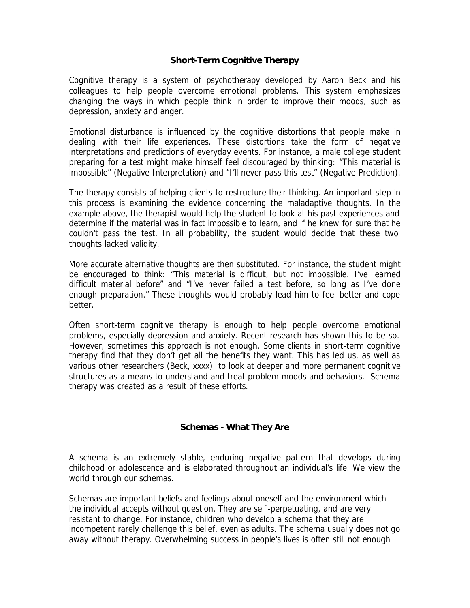# **Short-Term Cognitive Therapy**

Cognitive therapy is a system of psychotherapy developed by Aaron Beck and his colleagues to help people overcome emotional problems. This system emphasizes changing the ways in which people think in order to improve their moods, such as depression, anxiety and anger.

Emotional disturbance is influenced by the cognitive distortions that people make in dealing with their life experiences. These distortions take the form of negative interpretations and predictions of everyday events. For instance, a male college student preparing for a test might make himself feel discouraged by thinking: "This material is impossible" (Negative Interpretation) and "I'll never pass this test" (Negative Prediction).

The therapy consists of helping clients to restructure their thinking. An important step in this process is examining the evidence concerning the maladaptive thoughts. In the example above, the therapist would help the student to look at his past experiences and determine if the material was in fact impossible to learn, and if he knew for sure that he couldn't pass the test. In all probability, the student would decide that these two thoughts lacked validity.

More accurate alternative thoughts are then substituted. For instance, the student might be encouraged to think: "This material is difficult, but not impossible. I've learned difficult material before" and "I've never failed a test before, so long as I've done enough preparation." These thoughts would probably lead him to feel better and cope better.

Often short-term cognitive therapy is enough to help people overcome emotional problems, especially depression and anxiety. Recent research has shown this to be so. However, sometimes this approach is not enough. Some clients in short-term cognitive therapy find that they don't get all the benefits they want. This has led us, as well as various other researchers (Beck, xxxx) to look at deeper and more permanent cognitive structures as a means to understand and treat problem moods and behaviors. Schema therapy was created as a result of these efforts.

# **Schemas - What They Are**

A schema is an extremely stable, enduring negative pattern that develops during childhood or adolescence and is elaborated throughout an individual's life. We view the world through our schemas.

Schemas are important beliefs and feelings about oneself and the environment which the individual accepts without question. They are self-perpetuating, and are very resistant to change. For instance, children who develop a schema that they are incompetent rarely challenge this belief, even as adults. The schema usually does not go away without therapy. Overwhelming success in people's lives is often still not enough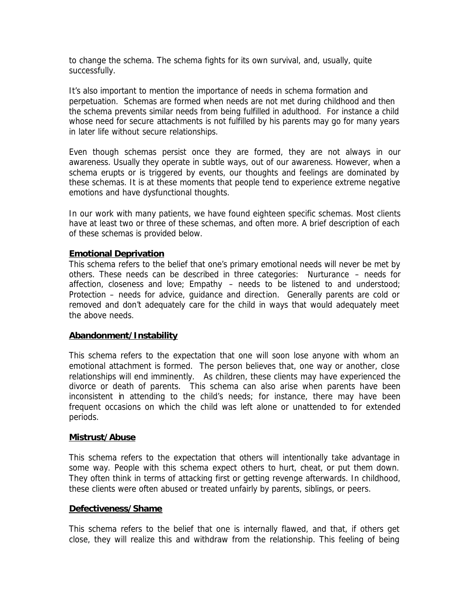to change the schema. The schema fights for its own survival, and, usually, quite successfully.

It's also important to mention the importance of needs in schema formation and perpetuation. Schemas are formed when needs are not met during childhood and then the schema prevents similar needs from being fulfilled in adulthood. For instance a child whose need for secure attachments is not fulfilled by his parents may go for many years in later life without secure relationships.

Even though schemas persist once they are formed, they are not always in our awareness. Usually they operate in subtle ways, out of our awareness. However, when a schema erupts or is triggered by events, our thoughts and feelings are dominated by these schemas. It is at these moments that people tend to experience extreme negative emotions and have dysfunctional thoughts.

In our work with many patients, we have found eighteen specific schemas. Most clients have at least two or three of these schemas, and often more. A brief description of each of these schemas is provided below.

#### **Emotional Deprivation**

This schema refers to the belief that one's primary emotional needs will never be met by others. These needs can be described in three categories: Nurturance – needs for affection, closeness and love; Empathy – needs to be listened to and understood; Protection – needs for advice, guidance and direction. Generally parents are cold or removed and don't adequately care for the child in ways that would adequately meet the above needs.

#### **Abandonment/Instability**

This schema refers to the expectation that one will soon lose anyone with whom an emotional attachment is formed. The person believes that, one way or another, close relationships will end imminently. As children, these clients may have experienced the divorce or death of parents. This schema can also arise when parents have been inconsistent in attending to the child's needs; for instance, there may have been frequent occasions on which the child was left alone or unattended to for extended periods.

#### **Mistrust/Abuse**

This schema refers to the expectation that others will intentionally take advantage in some way. People with this schema expect others to hurt, cheat, or put them down. They often think in terms of attacking first or getting revenge afterwards. In childhood, these clients were often abused or treated unfairly by parents, siblings, or peers.

#### **Defectiveness/Shame**

This schema refers to the belief that one is internally flawed, and that, if others get close, they will realize this and withdraw from the relationship. This feeling of being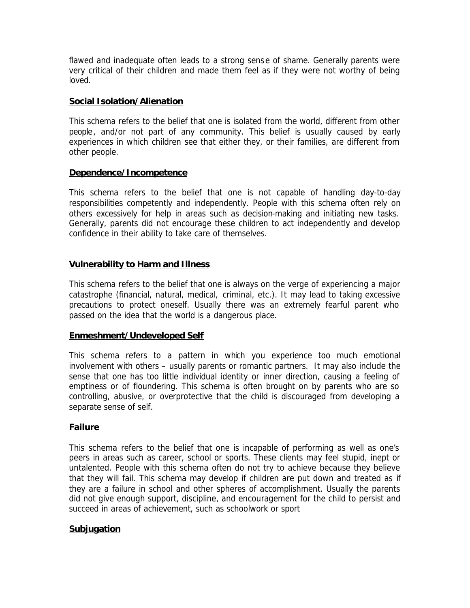flawed and inadequate often leads to a strong sense of shame. Generally parents were very critical of their children and made them feel as if they were not worthy of being loved.

# **Social Isolation/Alienation**

This schema refers to the belief that one is isolated from the world, different from other people, and/or not part of any community. This belief is usually caused by early experiences in which children see that either they, or their families, are different from other people.

# **Dependence/Incompetence**

This schema refers to the belief that one is not capable of handling day-to-day responsibilities competently and independently. People with this schema often rely on others excessively for help in areas such as decision-making and initiating new tasks. Generally, parents did not encourage these children to act independently and develop confidence in their ability to take care of themselves.

# **Vulnerability to Harm and Illness**

This schema refers to the belief that one is always on the verge of experiencing a major catastrophe (financial, natural, medical, criminal, etc.). It may lead to taking excessive precautions to protect oneself. Usually there was an extremely fearful parent who passed on the idea that the world is a dangerous place.

# **Enmeshment/Undeveloped Self**

This schema refers to a pattern in which you experience too much emotional involvement with others – usually parents or romantic partners. It may also include the sense that one has too little individual identity or inner direction, causing a feeling of emptiness or of floundering. This schema is often brought on by parents who are so controlling, abusive, or overprotective that the child is discouraged from developing a separate sense of self.

# **Failure**

This schema refers to the belief that one is incapable of performing as well as one's peers in areas such as career, school or sports. These clients may feel stupid, inept or untalented. People with this schema often do not try to achieve because they believe that they will fail. This schema may develop if children are put down and treated as if they are a failure in school and other spheres of accomplishment. Usually the parents did not give enough support, discipline, and encouragement for the child to persist and succeed in areas of achievement, such as schoolwork or sport

# **Subjugation**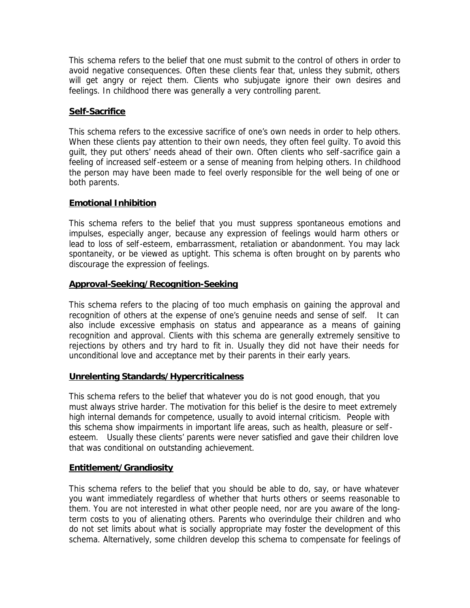This schema refers to the belief that one must submit to the control of others in order to avoid negative consequences. Often these clients fear that, unless they submit, others will get angry or reject them. Clients who subjugate ignore their own desires and feelings. In childhood there was generally a very controlling parent.

# **Self-Sacrifice**

This schema refers to the excessive sacrifice of one's own needs in order to help others. When these clients pay attention to their own needs, they often feel guilty. To avoid this guilt, they put others' needs ahead of their own. Often clients who self-sacrifice gain a feeling of increased self-esteem or a sense of meaning from helping others. In childhood the person may have been made to feel overly responsible for the well being of one or both parents.

# **Emotional Inhibition**

This schema refers to the belief that you must suppress spontaneous emotions and impulses, especially anger, because any expression of feelings would harm others or lead to loss of self-esteem, embarrassment, retaliation or abandonment. You may lack spontaneity, or be viewed as uptight. This schema is often brought on by parents who discourage the expression of feelings.

# **Approval-Seeking/Recognition-Seeking**

This schema refers to the placing of too much emphasis on gaining the approval and recognition of others at the expense of one's genuine needs and sense of self. It can also include excessive emphasis on status and appearance as a means of gaining recognition and approval. Clients with this schema are generally extremely sensitive to rejections by others and try hard to fit in. Usually they did not have their needs for unconditional love and acceptance met by their parents in their early years.

# **Unrelenting Standards/Hypercriticalness**

This schema refers to the belief that whatever you do is not good enough, that you must always strive harder. The motivation for this belief is the desire to meet extremely high internal demands for competence, usually to avoid internal criticism. People with this schema show impairments in important life areas, such as health, pleasure or selfesteem. Usually these clients' parents were never satisfied and gave their children love that was conditional on outstanding achievement.

# **Entitlement/Grandiosity**

This schema refers to the belief that you should be able to do, say, or have whatever you want immediately regardless of whether that hurts others or seems reasonable to them. You are not interested in what other people need, nor are you aware of the longterm costs to you of alienating others. Parents who overindulge their children and who do not set limits about what is socially appropriate may foster the development of this schema. Alternatively, some children develop this schema to compensate for feelings of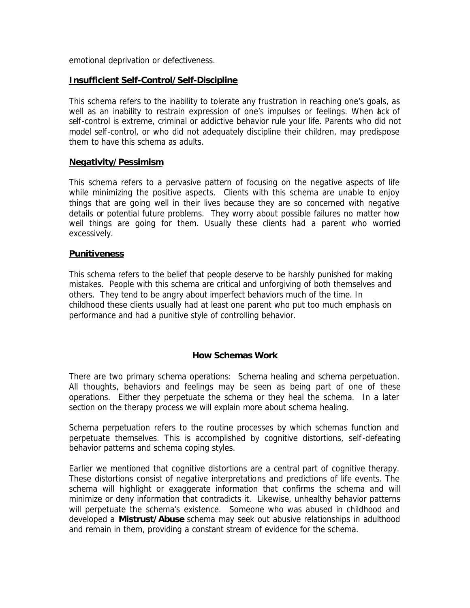emotional deprivation or defectiveness.

# **Insufficient Self-Control/Self-Discipline**

This schema refers to the inability to tolerate any frustration in reaching one's goals, as well as an inability to restrain expression of one's impulses or feelings. When ack of self-control is extreme, criminal or addictive behavior rule your life. Parents who did not model self-control, or who did not adequately discipline their children, may predispose them to have this schema as adults.

# **Negativity/Pessimism**

This schema refers to a pervasive pattern of focusing on the negative aspects of life while minimizing the positive aspects. Clients with this schema are unable to enjoy things that are going well in their lives because they are so concerned with negative details or potential future problems. They worry about possible failures no matter how well things are going for them. Usually these clients had a parent who worried excessively.

#### **Punitiveness**

This schema refers to the belief that people deserve to be harshly punished for making mistakes. People with this schema are critical and unforgiving of both themselves and others. They tend to be angry about imperfect behaviors much of the time. In childhood these clients usually had at least one parent who put too much emphasis on performance and had a punitive style of controlling behavior.

# **How Schemas Work**

There are two primary schema operations: Schema healing and schema perpetuation. All thoughts, behaviors and feelings may be seen as being part of one of these operations. Either they perpetuate the schema or they heal the schema. In a later section on the therapy process we will explain more about schema healing.

Schema perpetuation refers to the routine processes by which schemas function and perpetuate themselves. This is accomplished by cognitive distortions, self-defeating behavior patterns and schema coping styles.

Earlier we mentioned that cognitive distortions are a central part of cognitive therapy. These distortions consist of negative interpretations and predictions of life events. The schema will highlight or exaggerate information that confirms the schema and will minimize or deny information that contradicts it. Likewise, unhealthy behavior patterns will perpetuate the schema's existence. Someone who was abused in childhood and developed a **Mistrust/Abuse** schema may seek out abusive relationships in adulthood and remain in them, providing a constant stream of evidence for the schema.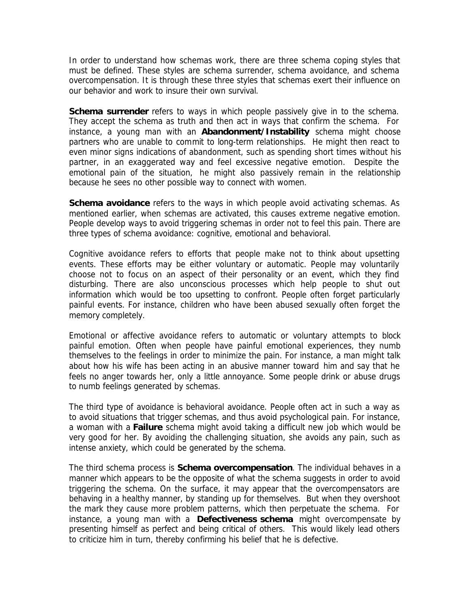In order to understand how schemas work, there are three schema coping styles that must be defined. These styles are schema surrender, schema avoidance, and schema overcompensation. It is through these three styles that schemas exert their influence on our behavior and work to insure their own survival.

**Schema surrender** refers to ways in which people passively give in to the schema. They accept the schema as truth and then act in ways that confirm the schema. For instance, a young man with an **Abandonment/Instability** schema might choose partners who are unable to commit to long-term relationships. He might then react to even minor signs indications of abandonment, such as spending short times without his partner, in an exaggerated way and feel excessive negative emotion. Despite the emotional pain of the situation, he might also passively remain in the relationship because he sees no other possible way to connect with women.

**Schema avoidance** refers to the ways in which people avoid activating schemas. As mentioned earlier, when schemas are activated, this causes extreme negative emotion. People develop ways to avoid triggering schemas in order not to feel this pain. There are three types of schema avoidance: cognitive, emotional and behavioral.

Cognitive avoidance refers to efforts that people make not to think about upsetting events. These efforts may be either voluntary or automatic. People may voluntarily choose not to focus on an aspect of their personality or an event, which they find disturbing. There are also unconscious processes which help people to shut out information which would be too upsetting to confront. People often forget particularly painful events. For instance, children who have been abused sexually often forget the memory completely.

Emotional or affective avoidance refers to automatic or voluntary attempts to block painful emotion. Often when people have painful emotional experiences, they numb themselves to the feelings in order to minimize the pain. For instance, a man might talk about how his wife has been acting in an abusive manner toward him and say that he feels no anger towards her, only a little annoyance. Some people drink or abuse drugs to numb feelings generated by schemas.

The third type of avoidance is behavioral avoidance. People often act in such a way as to avoid situations that trigger schemas, and thus avoid psychological pain. For instance, a woman with a **Failure** schema might avoid taking a difficult new job which would be very good for her. By avoiding the challenging situation, she avoids any pain, such as intense anxiety, which could be generated by the schema.

The third schema process is **Schema overcompensation**. The individual behaves in a manner which appears to be the opposite of what the schema suggests in order to avoid triggering the schema. On the surface, it may appear that the overcompensators are behaving in a healthy manner, by standing up for themselves. But when they overshoot the mark they cause more problem patterns, which then perpetuate the schema. For instance, a young man with a **Defectiveness schema** might overcompensate by presenting himself as perfect and being critical of others. This would likely lead others to criticize him in turn, thereby confirming his belief that he is defective.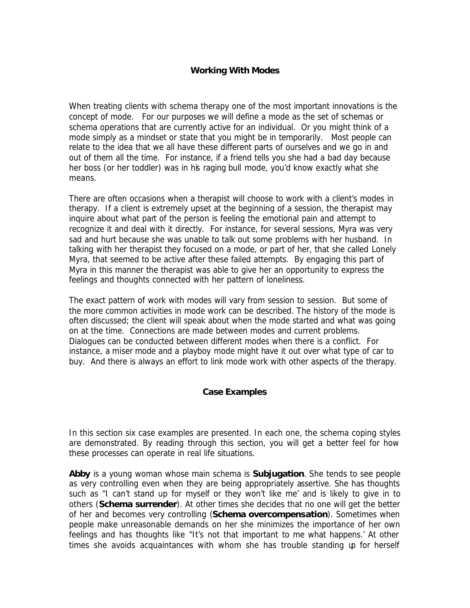# **Working With Modes**

When treating clients with schema therapy one of the most important innovations is the concept of mode. For our purposes we will define a mode as the set of schemas or schema operations that are currently active for an individual. Or you might think of a mode simply as a mindset or state that you might be in temporarily. Most people can relate to the idea that we all have these different parts of ourselves and we go in and out of them all the time. For instance, if a friend tells you she had a bad day because her boss (or her toddler) was in his *raging bull* mode, you'd know exactly what she means.

There are often occasions when a therapist will choose to work with a client's modes in therapy. If a client is extremely upset at the beginning of a session, the therapist may inquire about what part of the person is feeling the emotional pain and attempt to recognize it and deal with it directly. For instance, for several sessions, Myra was very sad and hurt because she was unable to talk out some problems with her husband. In talking with her therapist they focused on a mode, or part of her, that she called *Lonely Myra*, that seemed to be active after these failed attempts. By engaging this part of Myra in this manner the therapist was able to give her an opportunity to express the feelings and thoughts connected with her pattern of loneliness.

The exact pattern of work with modes will vary from session to session. But some of the more common activities in mode work can be described. The history of the mode is often discussed; the client will speak about when the mode started and what was going on at the time. Connections are made between modes and current problems. Dialogues can be conducted between different modes when there is a conflict. For instance, a *miser* mode and a *playboy* mode might have it out over what type of car to buy. And there is always an effort to link mode work with other aspects of the therapy.

# **Case Examples**

In this section six case examples are presented. In each one, the schema coping styles are demonstrated. By reading through this section, you will get a better feel for how these processes can operate in real life situations.

**Abby** is a young woman whose main schema is **Subjugation**. She tends to see people as very controlling even when they are being appropriately assertive. She has thoughts such as "I can't stand up for myself or they won't like me' and is likely to give in to others (**Schema surrender**). At other times she decides that no one will get the better of her and becomes very controlling (**Schema overcompensation**). Sometimes when people make unreasonable demands on her she minimizes the importance of her own feelings and has thoughts like "It's not that important to me what happens.' At other times she avoids acquaintances with whom she has trouble standing  $\psi$  for herself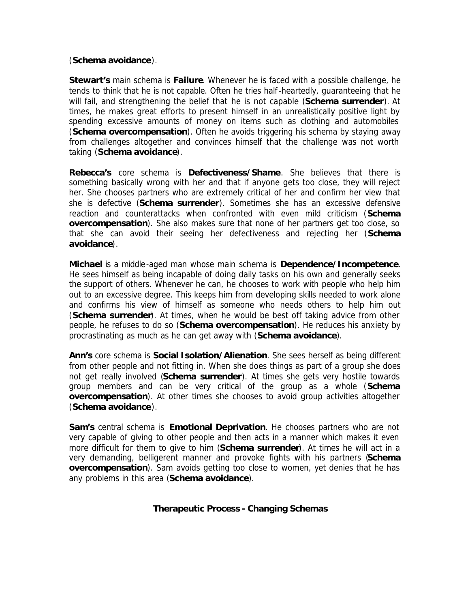# (**Schema avoidance**).

**Stewart's** main schema is **Failure**. Whenever he is faced with a possible challenge, he tends to think that he is not capable. Often he tries half-heartedly, guaranteeing that he will fail, and strengthening the belief that he is not capable (**Schema surrender**). At times, he makes great efforts to present himself in an unrealistically positive light by spending excessive amounts of money on items such as clothing and automobiles (**Schema overcompensation**). Often he avoids triggering his schema by staying away from challenges altogether and convinces himself that the challenge was not worth taking (**Schema avoidance**).

**Rebecca's** core schema is **Defectiveness/Shame**. She believes that there is something basically wrong with her and that if anyone gets too close, they will reject her. She chooses partners who are extremely critical of her and confirm her view that she is defective (**Schema surrender**). Sometimes she has an excessive defensive reaction and counterattacks when confronted with even mild criticism (**Schema overcompensation**). She also makes sure that none of her partners get too close, so that she can avoid their seeing her defectiveness and rejecting her (**Schema avoidance**).

**Michael** is a middle-aged man whose main schema is **Dependence/Incompetence**. He sees himself as being incapable of doing daily tasks on his own and generally seeks the support of others. Whenever he can, he chooses to work with people who help him out to an excessive degree. This keeps him from developing skills needed to work alone and confirms his view of himself as someone who needs others to help him out (**Schema surrender**). At times, when he would be best off taking advice from other people, he refuses to do so (**Schema overcompensation**). He reduces his anxiety by procrastinating as much as he can get away with (**Schema avoidance**).

**Ann's** core schema is **Social Isolation/Alienation**. She sees herself as being different from other people and not fitting in. When she does things as part of a group she does not get really involved (**Schema surrender**). At times she gets very hostile towards group members and can be very critical of the group as a whole (**Schema overcompensation**). At other times she chooses to avoid group activities altogether (**Schema avoidance**).

**Sam's** central schema is **Emotional Deprivation**. He chooses partners who are not very capable of giving to other people and then acts in a manner which makes it even more difficult for them to give to him (**Schema surrender**). At times he will act in a very demanding, belligerent manner and provoke fights with his partners (**Schema overcompensation**). Sam avoids getting too close to women, yet denies that he has any problems in this area (**Schema avoidance**).

**Therapeutic Process - Changing Schemas**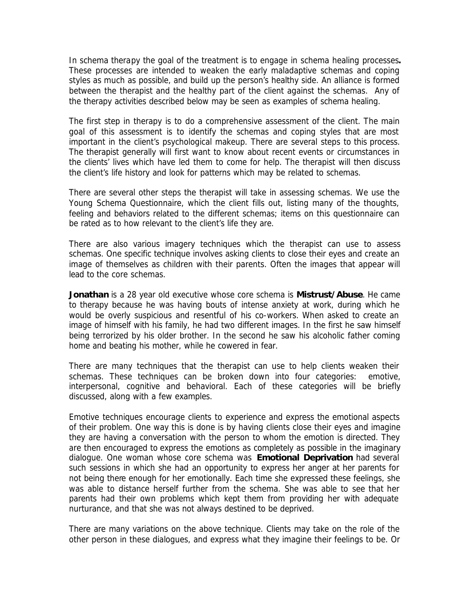In schema therapy the goal of the treatment is to engage in schema healing processes**.**  These processes are intended to weaken the early maladaptive schemas and coping styles as much as possible, and build up the person's healthy side. An alliance is formed between the therapist and the healthy part of the client against the schemas. Any of the therapy activities described below may be seen as examples of schema healing.

The first step in therapy is to do a comprehensive assessment of the client. The main goal of this assessment is to identify the schemas and coping styles that are most important in the client's psychological makeup. There are several steps to this process. The therapist generally will first want to know about recent events or circumstances in the clients' lives which have led them to come for help. The therapist will then discuss the client's life history and look for patterns which may be related to schemas.

There are several other steps the therapist will take in assessing schemas. We use the Young Schema Questionnaire, which the client fills out, listing many of the thoughts, feeling and behaviors related to the different schemas; items on this questionnaire can be rated as to how relevant to the client's life they are.

There are also various imagery techniques which the therapist can use to assess schemas. One specific technique involves asking clients to close their eyes and create an image of themselves as children with their parents. Often the images that appear will lead to the core schemas.

**Jonathan** is a 28 year old executive whose core schema is **Mistrust/Abuse**. He came to therapy because he was having bouts of intense anxiety at work, during which he would be overly suspicious and resentful of his co-workers. When asked to create an image of himself with his family, he had two different images. In the first he saw himself being terrorized by his older brother. In the second he saw his alcoholic father coming home and beating his mother, while he cowered in fear.

There are many techniques that the therapist can use to help clients weaken their schemas. These techniques can be broken down into four categories: emotive, interpersonal, cognitive and behavioral. Each of these categories will be briefly discussed, along with a few examples.

Emotive techniques encourage clients to experience and express the emotional aspects of their problem. One way this is done is by having clients close their eyes and imagine they are having a conversation with the person to whom the emotion is directed. They are then encouraged to express the emotions as completely as possible in the imaginary dialogue. One woman whose core schema was **Emotional Deprivation** had several such sessions in which she had an opportunity to express her anger at her parents for not being there enough for her emotionally. Each time she expressed these feelings, she was able to distance herself further from the schema. She was able to see that her parents had their own problems which kept them from providing her with adequate nurturance, and that she was not always destined to be deprived.

There are many variations on the above technique. Clients may take on the role of the other person in these dialogues, and express what they imagine their feelings to be. Or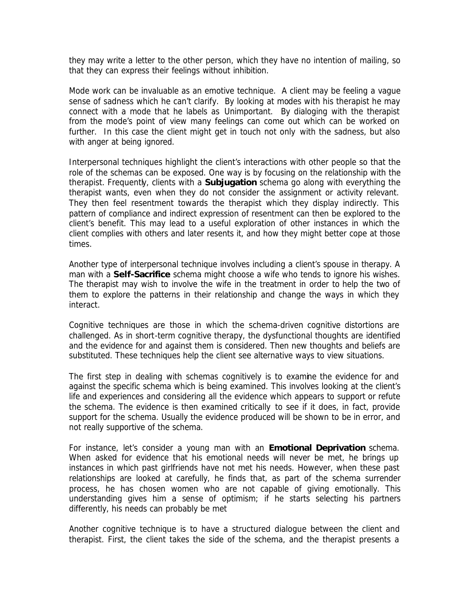they may write a letter to the other person, which they have no intention of mailing, so that they can express their feelings without inhibition.

Mode work can be invaluable as an emotive technique. A client may be feeling a vague sense of sadness which he can't clarify. By looking at modes with his therapist he may connect with a mode that he labels as *Unimportant*. By dialoging with the therapist from the mode's point of view many feelings can come out which can be worked on further. In this case the client might get in touch not only with the sadness, but also with anger at being ignored.

Interpersonal techniques highlight the client's interactions with other people so that the role of the schemas can be exposed. One way is by focusing on the relationship with the therapist. Frequently, clients with a **Subjugation** schema go along with everything the therapist wants, even when they do not consider the assignment or activity relevant. They then feel resentment towards the therapist which they display indirectly. This pattern of compliance and indirect expression of resentment can then be explored to the client's benefit. This may lead to a useful exploration of other instances in which the client complies with others and later resents it, and how they might better cope at those times.

Another type of interpersonal technique involves including a client's spouse in therapy. A man with a **Self-Sacrifice** schema might choose a wife who tends to ignore his wishes. The therapist may wish to involve the wife in the treatment in order to help the two of them to explore the patterns in their relationship and change the ways in which they interact.

Cognitive techniques are those in which the schema-driven cognitive distortions are challenged. As in short-term cognitive therapy, the dysfunctional thoughts are identified and the evidence for and against them is considered. Then new thoughts and beliefs are substituted. These techniques help the client see alternative ways to view situations.

The first step in dealing with schemas cognitively is to examine the evidence for and against the specific schema which is being examined. This involves looking at the client's life and experiences and considering all the evidence which appears to support or refute the schema. The evidence is then examined critically to see if it does, in fact, provide support for the schema. Usually the evidence produced will be shown to be in error, and not really supportive of the schema.

For instance, let's consider a young man with an **Emotional Deprivation** schema. When asked for evidence that his emotional needs will never be met, he brings up instances in which past girlfriends have not met his needs. However, when these past relationships are looked at carefully, he finds that, as part of the schema surrender process, he has chosen women who are not capable of giving emotionally. This understanding gives him a sense of optimism; if he starts selecting his partners differently, his needs can probably be met

Another cognitive technique is to have a structured dialogue between the client and therapist. First, the client takes the side of the schema, and the therapist presents a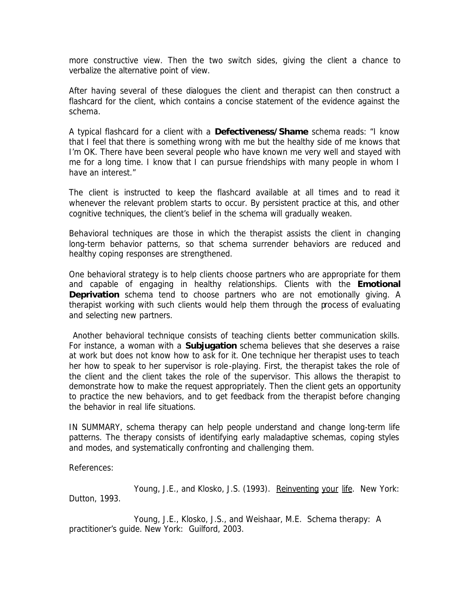more constructive view. Then the two switch sides, giving the client a chance to verbalize the alternative point of view.

After having several of these dialogues the client and therapist can then construct a flashcard for the client, which contains a concise statement of the evidence against the schema.

A typical flashcard for a client with a **Defectiveness/Shame** schema reads: "I know that I feel that there is something wrong with me but the healthy side of me knows that I'm OK. There have been several people who have known me very well and stayed with me for a long time. I know that I can pursue friendships with many people in whom I have an interest."

The client is instructed to keep the flashcard available at all times and to read it whenever the relevant problem starts to occur. By persistent practice at this, and other cognitive techniques, the client's belief in the schema will gradually weaken.

Behavioral techniques are those in which the therapist assists the client in changing long-term behavior patterns, so that schema surrender behaviors are reduced and healthy coping responses are strengthened.

One behavioral strategy is to help clients choose partners who are appropriate for them and capable of engaging in healthy relationships. Clients with the **Emotional Deprivation** schema tend to choose partners who are not emotionally giving. A therapist working with such clients would help them through the process of evaluating and selecting new partners.

 Another behavioral technique consists of teaching clients better communication skills. For instance, a woman with a **Subjugation** schema believes that she deserves a raise at work but does not know how to ask for it. One technique her therapist uses to teach her how to speak to her supervisor is role-playing. First, the therapist takes the role of the client and the client takes the role of the supervisor. This allows the therapist to demonstrate how to make the request appropriately. Then the client gets an opportunity to practice the new behaviors, and to get feedback from the therapist before changing the behavior in real life situations.

IN SUMMARY, schema therapy can help people understand and change long-term life patterns. The therapy consists of identifying early maladaptive schemas, coping styles and modes, and systematically confronting and challenging them.

References:

Young, J.E., and Klosko, J.S. (1993). Reinventing your life. New York: Dutton, 1993.

Young, J.E., Klosko, J.S., and Weishaar, M.E. Schema therapy: A practitioner's guide. New York: Guilford, 2003.